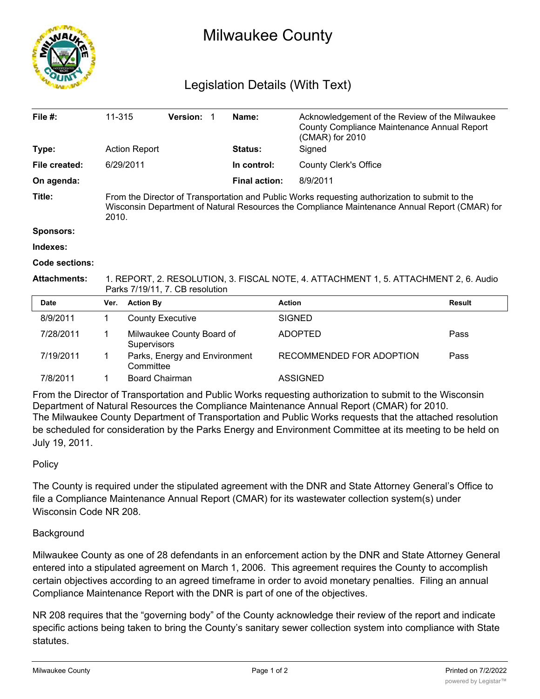

# Milwaukee County

## Legislation Details (With Text)

| File $#$ :          | 11-315                                                                                                                                                                                                   |                                          | Version: 1                    |  | Name:                | Acknowledgement of the Review of the Milwaukee<br>County Compliance Maintenance Annual Report<br>(CMAR) for 2010 |               |
|---------------------|----------------------------------------------------------------------------------------------------------------------------------------------------------------------------------------------------------|------------------------------------------|-------------------------------|--|----------------------|------------------------------------------------------------------------------------------------------------------|---------------|
| Type:               |                                                                                                                                                                                                          | <b>Action Report</b><br>6/29/2011        |                               |  | <b>Status:</b>       | Signed                                                                                                           |               |
| File created:       |                                                                                                                                                                                                          |                                          |                               |  | In control:          | <b>County Clerk's Office</b>                                                                                     |               |
| On agenda:          |                                                                                                                                                                                                          |                                          |                               |  | <b>Final action:</b> | 8/9/2011                                                                                                         |               |
| Title:              | From the Director of Transportation and Public Works requesting authorization to submit to the<br>Wisconsin Department of Natural Resources the Compliance Maintenance Annual Report (CMAR) for<br>2010. |                                          |                               |  |                      |                                                                                                                  |               |
| <b>Sponsors:</b>    |                                                                                                                                                                                                          |                                          |                               |  |                      |                                                                                                                  |               |
| Indexes:            |                                                                                                                                                                                                          |                                          |                               |  |                      |                                                                                                                  |               |
| Code sections:      |                                                                                                                                                                                                          |                                          |                               |  |                      |                                                                                                                  |               |
| <b>Attachments:</b> | 1. REPORT, 2. RESOLUTION, 3. FISCAL NOTE, 4. ATTACHMENT 1, 5. ATTACHMENT 2, 6. Audio<br>Parks 7/19/11, 7. CB resolution                                                                                  |                                          |                               |  |                      |                                                                                                                  |               |
| <b>Date</b>         | Ver.                                                                                                                                                                                                     | <b>Action By</b>                         |                               |  |                      | <b>Action</b>                                                                                                    | <b>Result</b> |
| 8/9/2011            | 1                                                                                                                                                                                                        |                                          | <b>County Executive</b>       |  |                      | <b>SIGNED</b>                                                                                                    |               |
| 7/28/2011           |                                                                                                                                                                                                          | Milwaukee County Board of<br>Supervisors |                               |  | <b>ADOPTED</b>       | Pass                                                                                                             |               |
| 7/19/2011           | 1                                                                                                                                                                                                        | Committee                                | Parks, Energy and Environment |  |                      | RECOMMENDED FOR ADOPTION                                                                                         | Pass          |
| 7/8/2011            |                                                                                                                                                                                                          | Board Chairman                           |                               |  |                      | <b>ASSIGNED</b>                                                                                                  |               |

From the Director of Transportation and Public Works requesting authorization to submit to the Wisconsin Department of Natural Resources the Compliance Maintenance Annual Report (CMAR) for 2010. The Milwaukee County Department of Transportation and Public Works requests that the attached resolution be scheduled for consideration by the Parks Energy and Environment Committee at its meeting to be held on July 19, 2011.

### **Policy**

The County is required under the stipulated agreement with the DNR and State Attorney General's Office to file a Compliance Maintenance Annual Report (CMAR) for its wastewater collection system(s) under Wisconsin Code NR 208.

### **Background**

Milwaukee County as one of 28 defendants in an enforcement action by the DNR and State Attorney General entered into a stipulated agreement on March 1, 2006. This agreement requires the County to accomplish certain objectives according to an agreed timeframe in order to avoid monetary penalties. Filing an annual Compliance Maintenance Report with the DNR is part of one of the objectives.

NR 208 requires that the "governing body" of the County acknowledge their review of the report and indicate specific actions being taken to bring the County's sanitary sewer collection system into compliance with State statutes.